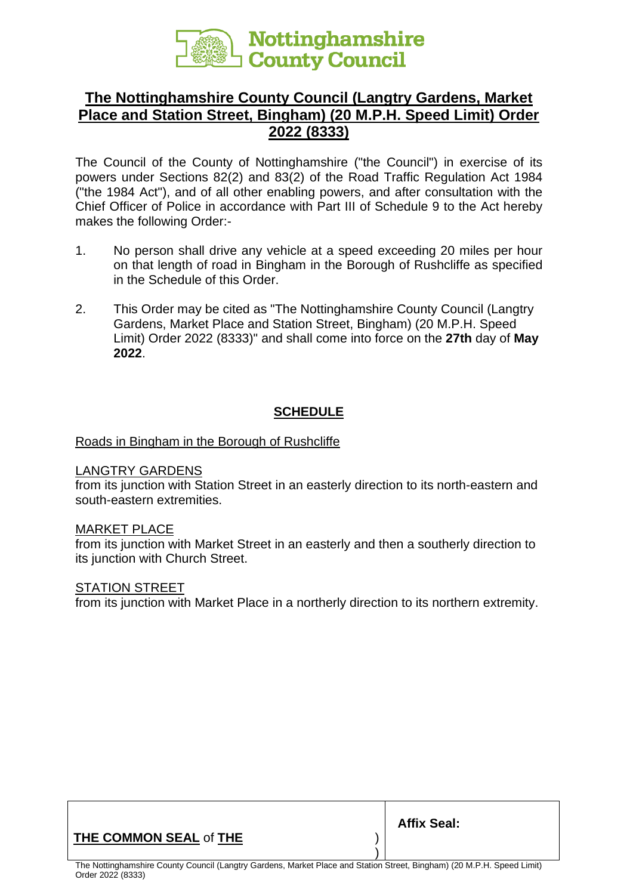

# **The Nottinghamshire County Council (Langtry Gardens, Market Place and Station Street, Bingham) (20 M.P.H. Speed Limit) Order 2022 (8333)**

The Council of the County of Nottinghamshire ("the Council") in exercise of its powers under Sections 82(2) and 83(2) of the Road Traffic Regulation Act 1984 ("the 1984 Act"), and of all other enabling powers, and after consultation with the Chief Officer of Police in accordance with Part III of Schedule 9 to the Act hereby makes the following Order:-

- 1. No person shall drive any vehicle at a speed exceeding 20 miles per hour on that length of road in Bingham in the Borough of Rushcliffe as specified in the Schedule of this Order.
- 2. This Order may be cited as "The Nottinghamshire County Council (Langtry Gardens, Market Place and Station Street, Bingham) (20 M.P.H. Speed Limit) Order 2022 (8333)" and shall come into force on the **27th** day of **May 2022**.

## **SCHEDULE**

### Roads in Bingham in the Borough of Rushcliffe

#### LANGTRY GARDENS

from its junction with Station Street in an easterly direction to its north-eastern and south-eastern extremities.

#### MARKET PLACE

from its junction with Market Street in an easterly and then a southerly direction to its junction with Church Street.

#### STATION STREET

from its junction with Market Place in a northerly direction to its northern extremity.

## **THE COMMON SEAL** of **THE** )